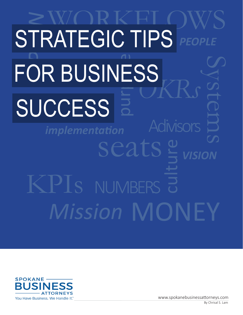### *VISION Mission* MONEY NUMBERS **NUMBERS** culture Systems KPIs Adivisors seats **PRATEGIC TIPS** PEOPLE SUCCESS *PEOPLE* pur|TTP STRATEGIC TIPS FOR BUSINESS *implementation*

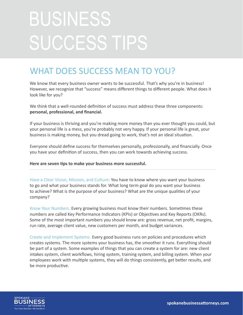# BUSINESS SUCCESS TIPS

#### WHAT DOES SUCCESS MEAN TO YOU?

We know that every business owner wants to be successful. That's why you're in business! However, we recognize that "success" means different things to different people. What does it look like for you?

We think that a well-rounded definition of success must address these three components: **personal, professional, and financial.** 

If your business is thriving and you're making more money than you ever thought you could, but your personal life is a mess, you're probably not very happy. If your personal life is great, your business is making money, but you dread going to work, that's not an ideal situation.

Everyone should define success for themselves personally, professionally, and financially. Once you have your definition of success, then you can work towards achieving success.

**Here are seven tips to make your business more successful.** 

Have a Clear Vision, Mission, and Culture: You have to know where you want your business to go and what your business stands for. What long term goal do you want your business to achieve? What is the purpose of your business? What are the unique qualities of your company?

Know Your Numbers. Every growing business must know their numbers. Sometimes these numbers are called Key Performance Indicators (KPIs) or Objectives and Key Reports (OKRs). Some of the most important numbers you should know are: gross revenue, net profit, margins, run rate, average client value, new customers per month, and budget variances.

Create and Implement Systems. Every good business runs on policies and procedures which creates systems. The more systems your business has, the smoother it runs. Everything should be part of a system. Some examples of things that you can create a system for are: new client intakes system, client workflows, hiring system, training system, and billing system. When your employees work with multiple systems, they will do things consistently, get better results, and be more productive.

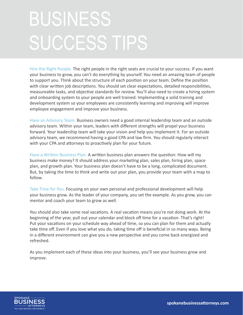## BUSINESS SUCCESS TIPS

Hire the Right People. The right people in the right seats are crucial to your success. If you want your business to grow, you can't do everything by yourself. You need an amazing team of people to support you. Think about the structure of each position on your team. Define the position with clear written job descriptions. You should set clear expectations, detailed responsibilities, measureable tasks, and objective standards for review. You'll also need to create a hiring system and onboarding system to your people are well trained. Implementing a solid training and development system so your employees are consistently learning and improving will improve employee engagement and improve your business.

Have an Advisory Team. Business owners need a good internal leadership team and an outside advisory team. Within your team, leaders with different strengths will propel your business forward. Your leadership team will take your vision and help you implement it. For an outside advisory team, we recommend having a good CPA and law firm. You should regularly interact with your CPA and attorneys to proactively plan for your future.

Have a Written Business Plan. A written business plan answers the question: How will my business make money? It should address your marketing plan, sales plan, hiring plan, space plan, and growth plan. Your business plan doesn't have to be a long, complicated document. But, by taking the time to think and write out your plan, you provide your team with a map to follow.

Take Time for You. Focusing on your own personal and professional development will help your business grow. As the leader of your company, you set the example. As you grow, you can mentor and coach your team to grow as well.

You should also take some real vacations. A real vacation means you're not doing work. At the beginning of the year, pull out your calendar and block off time for a vacation. That's right! Put your vacations on your schedule way ahead of time, so you can plan for them and actually take time off. Even if you love what you do, taking time off is beneficial in so many ways. Being in a different environment can give you a new perspective and you come back energized and refreshed.

As you implement each of these ideas into your business, you'll see your business grow and improve.